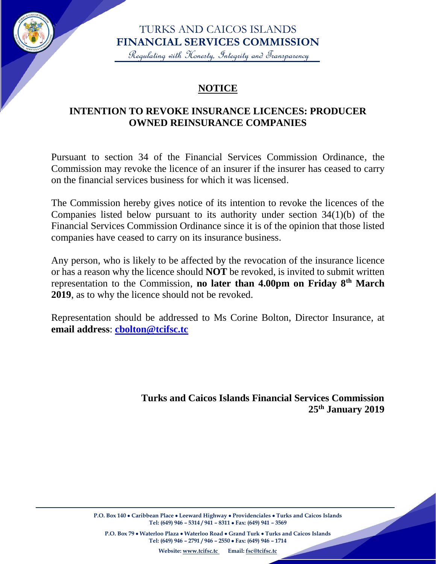

TURKS AND CAICOS ISLANDS **FINANCIAL SERVICES COMMISSION**

Regulating with Honesty, Integrity and Transparency

## **NOTICE**

## **INTENTION TO REVOKE INSURANCE LICENCES: PRODUCER OWNED REINSURANCE COMPANIES**

Pursuant to section 34 of the Financial Services Commission Ordinance, the Commission may revoke the licence of an insurer if the insurer has ceased to carry on the financial services business for which it was licensed.

The Commission hereby gives notice of its intention to revoke the licences of the Companies listed below pursuant to its authority under section 34(1)(b) of the Financial Services Commission Ordinance since it is of the opinion that those listed companies have ceased to carry on its insurance business.

Any person, who is likely to be affected by the revocation of the insurance licence or has a reason why the licence should **NOT** be revoked, is invited to submit written representation to the Commission, **no later than 4.00pm on Friday 8th March 2019**, as to why the licence should not be revoked.

Representation should be addressed to Ms Corine Bolton, Director Insurance, at **email address**: **[cbolton@tcifsc.tc](mailto:cbolton@tcifsc.tc)**

> **Turks and Caicos Islands Financial Services Commission 25 th January 2019**

**P.O. Box 140** • **Caribbean Place** • **Leeward Highway** • **Providenciales** • **Turks and Caicos Islands Tel: (649) 946 – 5314 / 941 – 8311** • **Fax: (649) 941 – 3569**

**P.O. Box 79** • **Waterloo Plaza** • **Waterloo Road** • **Grand Turk** • **Turks and Caicos Islands Tel: (649) 946 – 2791 / 946 – 2550** • **Fax: (649) 946 – 1714**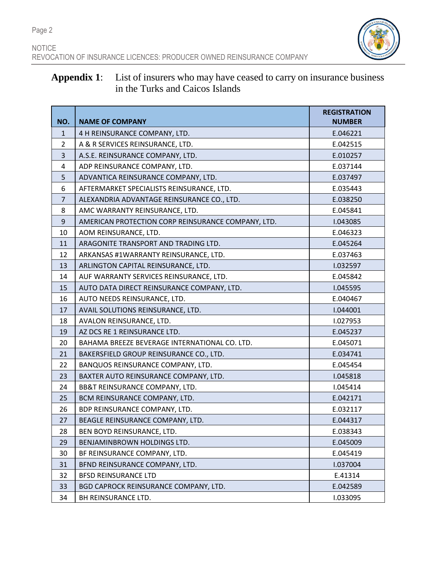## **Appendix 1**: List of insurers who may have ceased to carry on insurance business in the Turks and Caicos Islands

| NO.            | <b>NAME OF COMPANY</b>                             | <b>REGISTRATION</b><br><b>NUMBER</b> |
|----------------|----------------------------------------------------|--------------------------------------|
| $\mathbf{1}$   | 4 H REINSURANCE COMPANY, LTD.                      | E.046221                             |
| $\overline{2}$ | A & R SERVICES REINSURANCE, LTD.                   | E.042515                             |
| $\overline{3}$ | A.S.E. REINSURANCE COMPANY, LTD.                   | E.010257                             |
| 4              | ADP REINSURANCE COMPANY, LTD.                      | E.037144                             |
| 5              | ADVANTICA REINSURANCE COMPANY, LTD.                | E.037497                             |
| 6              | AFTERMARKET SPECIALISTS REINSURANCE, LTD.          | E.035443                             |
| $\overline{7}$ | ALEXANDRIA ADVANTAGE REINSURANCE CO., LTD.         | E.038250                             |
| 8              | AMC WARRANTY REINSURANCE, LTD.                     | E.045841                             |
| 9              | AMERICAN PROTECTION CORP REINSURANCE COMPANY, LTD. | 1.043085                             |
| 10             | AOM REINSURANCE, LTD.                              | E.046323                             |
| 11             | ARAGONITE TRANSPORT AND TRADING LTD.               | E.045264                             |
| 12             | ARKANSAS #1WARRANTY REINSURANCE, LTD.              | E.037463                             |
| 13             | ARLINGTON CAPITAL REINSURANCE, LTD.                | 1.032597                             |
| 14             | AUF WARRANTY SERVICES REINSURANCE, LTD.            | E.045842                             |
| 15             | AUTO DATA DIRECT REINSURANCE COMPANY, LTD.         | 1.045595                             |
| 16             | AUTO NEEDS REINSURANCE, LTD.                       | E.040467                             |
| 17             | AVAIL SOLUTIONS REINSURANCE, LTD.                  | 1.044001                             |
| 18             | AVALON REINSURANCE, LTD.                           | 1.027953                             |
| 19             | AZ DCS RE 1 REINSURANCE LTD.                       | E.045237                             |
| 20             | BAHAMA BREEZE BEVERAGE INTERNATIONAL CO. LTD.      | E.045071                             |
| 21             | BAKERSFIELD GROUP REINSURANCE CO., LTD.            | E.034741                             |
| 22             | BANQUOS REINSURANCE COMPANY, LTD.                  | E.045454                             |
| 23             | BAXTER AUTO REINSURANCE COMPANY, LTD.              | 1.045818                             |
| 24             | BB&T REINSURANCE COMPANY, LTD.                     | 1.045414                             |
| 25             | BCM REINSURANCE COMPANY, LTD.                      | E.042171                             |
| 26             | BDP REINSURANCE COMPANY, LTD.                      | E.032117                             |
| 27             | BEAGLE REINSURANCE COMPANY, LTD.                   | E.044317                             |
| 28             | BEN BOYD REINSURANCE, LTD.                         | E.038343                             |
| 29             | BENJAMINBROWN HOLDINGS LTD.                        | E.045009                             |
| 30             | BF REINSURANCE COMPANY, LTD.                       | E.045419                             |
| 31             | BFND REINSURANCE COMPANY, LTD.                     | 1.037004                             |
| 32             | <b>BFSD REINSURANCE LTD</b>                        | E.41314                              |
| 33             | BGD CAPROCK REINSURANCE COMPANY, LTD.              | E.042589                             |
| 34             | BH REINSURANCE LTD.                                | 1.033095                             |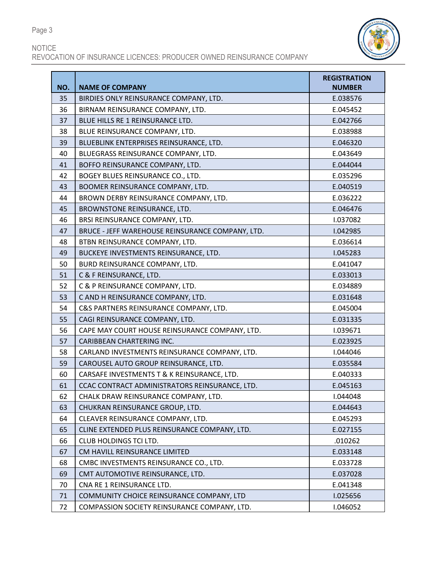

NOTICE REVOCATION OF INSURANCE LICENCES: PRODUCER OWNED REINSURANCE COMPANY

| NO. | <b>NAME OF COMPANY</b>                           | <b>REGISTRATION</b><br><b>NUMBER</b> |
|-----|--------------------------------------------------|--------------------------------------|
| 35  | BIRDIES ONLY REINSURANCE COMPANY, LTD.           | E.038576                             |
| 36  | BIRNAM REINSURANCE COMPANY, LTD.                 | E.045452                             |
| 37  | BLUE HILLS RE 1 REINSURANCE LTD.                 | E.042766                             |
| 38  | BLUE REINSURANCE COMPANY, LTD.                   | E.038988                             |
| 39  | BLUEBLINK ENTERPRISES REINSURANCE, LTD.          | E.046320                             |
| 40  | BLUEGRASS REINSURANCE COMPANY, LTD.              | E.043649                             |
| 41  | BOFFO REINSURANCE COMPANY, LTD.                  | E.044044                             |
| 42  | BOGEY BLUES REINSURANCE CO., LTD.                | E.035296                             |
| 43  | BOOMER REINSURANCE COMPANY, LTD.                 | E.040519                             |
| 44  | BROWN DERBY REINSURANCE COMPANY, LTD.            | E.036222                             |
| 45  | BROWNSTONE REINSURANCE, LTD.                     | E.046476                             |
| 46  | BRSI REINSURANCE COMPANY, LTD.                   | 1.037082                             |
| 47  | BRUCE - JEFF WAREHOUSE REINSURANCE COMPANY, LTD. | 1.042985                             |
| 48  | BTBN REINSURANCE COMPANY, LTD.                   | E.036614                             |
| 49  | BUCKEYE INVESTMENTS REINSURANCE, LTD.            | 1.045283                             |
| 50  | BURD REINSURANCE COMPANY, LTD.                   | E.041047                             |
| 51  | C & F REINSURANCE, LTD.                          | E.033013                             |
| 52  | C & P REINSURANCE COMPANY, LTD.                  | E.034889                             |
| 53  | C AND H REINSURANCE COMPANY, LTD.                | E.031648                             |
| 54  | C&S PARTNERS REINSURANCE COMPANY, LTD.           | E.045004                             |
| 55  | CAGI REINSURANCE COMPANY, LTD.                   | E.031335                             |
| 56  | CAPE MAY COURT HOUSE REINSURANCE COMPANY, LTD.   | 1.039671                             |
| 57  | CARIBBEAN CHARTERING INC.                        | E.023925                             |
| 58  | CARLAND INVESTMENTS REINSURANCE COMPANY, LTD.    | 1.044046                             |
| 59  | CAROUSEL AUTO GROUP REINSURANCE, LTD.            | E.035584                             |
| 60  | CARSAFE INVESTMENTS T & K REINSURANCE, LTD.      | E.040333                             |
| 61  | CCAC CONTRACT ADMINISTRATORS REINSURANCE, LTD.   | E.045163                             |
| 62  | CHALK DRAW REINSURANCE COMPANY, LTD.             | 1.044048                             |
| 63  | CHUKRAN REINSURANCE GROUP, LTD.                  | E.044643                             |
| 64  | CLEAVER REINSURANCE COMPANY, LTD.                | E.045293                             |
| 65  | CLINE EXTENDED PLUS REINSURANCE COMPANY, LTD.    | E.027155                             |
| 66  | CLUB HOLDINGS TCI LTD.                           | .010262                              |
| 67  | CM HAVILL REINSURANCE LIMITED                    | E.033148                             |
| 68  | CMBC INVESTMENTS REINSURANCE CO., LTD.           | E.033728                             |
| 69  | CMT AUTOMOTIVE REINSURANCE, LTD.                 | E.037028                             |
| 70  | CNA RE 1 REINSURANCE LTD.                        | E.041348                             |
| 71  | COMMUNITY CHOICE REINSURANCE COMPANY, LTD        | 1.025656                             |
| 72  | COMPASSION SOCIETY REINSURANCE COMPANY, LTD.     | 1.046052                             |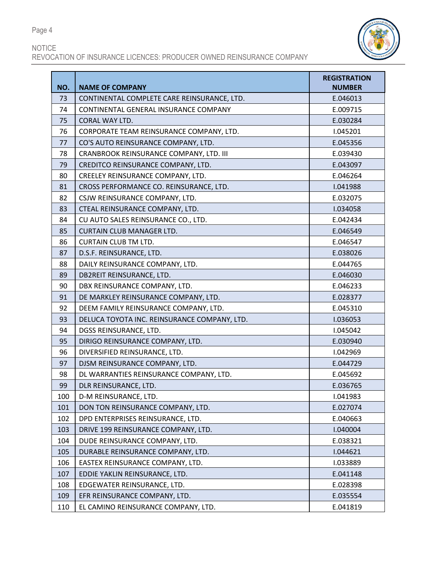



| NO. | <b>NAME OF COMPANY</b>                       | <b>REGISTRATION</b><br><b>NUMBER</b> |
|-----|----------------------------------------------|--------------------------------------|
| 73  | CONTINENTAL COMPLETE CARE REINSURANCE, LTD.  | E.046013                             |
| 74  | CONTINENTAL GENERAL INSURANCE COMPANY        | E.009715                             |
| 75  | CORAL WAY LTD.                               | E.030284                             |
| 76  | CORPORATE TEAM REINSURANCE COMPANY, LTD.     | 1.045201                             |
| 77  | CO'S AUTO REINSURANCE COMPANY, LTD.          | E.045356                             |
| 78  | CRANBROOK REINSURANCE COMPANY, LTD. III      | E.039430                             |
| 79  | CREDITCO REINSURANCE COMPANY, LTD.           | E.043097                             |
| 80  | CREELEY REINSURANCE COMPANY, LTD.            | E.046264                             |
| 81  | CROSS PERFORMANCE CO. REINSURANCE, LTD.      | 1.041988                             |
| 82  | CSJW REINSURANCE COMPANY, LTD.               | E.032075                             |
| 83  | CTEAL REINSURANCE COMPANY, LTD.              | 1.034058                             |
| 84  | CU AUTO SALES REINSURANCE CO., LTD.          | E.042434                             |
| 85  | <b>CURTAIN CLUB MANAGER LTD.</b>             | E.046549                             |
| 86  | <b>CURTAIN CLUB TM LTD.</b>                  | E.046547                             |
| 87  | D.S.F. REINSURANCE, LTD.                     | E.038026                             |
| 88  | DAILY REINSURANCE COMPANY, LTD.              | E.044765                             |
| 89  | DB2REIT REINSURANCE, LTD.                    | E.046030                             |
| 90  | DBX REINSURANCE COMPANY, LTD.                | E.046233                             |
| 91  | DE MARKLEY REINSURANCE COMPANY, LTD.         | E.028377                             |
| 92  | DEEM FAMILY REINSURANCE COMPANY, LTD.        | E.045310                             |
| 93  | DELUCA TOYOTA INC. REINSURANCE COMPANY, LTD. | 1.036053                             |
| 94  | DGSS REINSURANCE, LTD.                       | 1.045042                             |
| 95  | DIRIGO REINSURANCE COMPANY, LTD.             | E.030940                             |
| 96  | DIVERSIFIED REINSURANCE, LTD.                | 1.042969                             |
| 97  | DJSM REINSURANCE COMPANY, LTD.               | E.044729                             |
| 98  | DL WARRANTIES REINSURANCE COMPANY, LTD.      | E.045692                             |
| 99  | DLR REINSURANCE, LTD.                        | E.036765                             |
| 100 | D-M REINSURANCE, LTD.                        | 1.041983                             |
| 101 | DON TON REINSURANCE COMPANY, LTD.            | E.027074                             |
| 102 | DPD ENTERPRISES REINSURANCE, LTD.            | E.040663                             |
| 103 | DRIVE 199 REINSURANCE COMPANY, LTD.          | 1.040004                             |
| 104 | DUDE REINSURANCE COMPANY, LTD.               | E.038321                             |
| 105 | DURABLE REINSURANCE COMPANY, LTD.            | 1.044621                             |
| 106 | EASTEX REINSURANCE COMPANY, LTD.             | 1.033889                             |
| 107 | EDDIE YAKLIN REINSURANCE, LTD.               | E.041148                             |
| 108 | EDGEWATER REINSURANCE, LTD.                  | E.028398                             |
| 109 | EFR REINSURANCE COMPANY, LTD.                | E.035554                             |
| 110 | EL CAMINO REINSURANCE COMPANY, LTD.          | E.041819                             |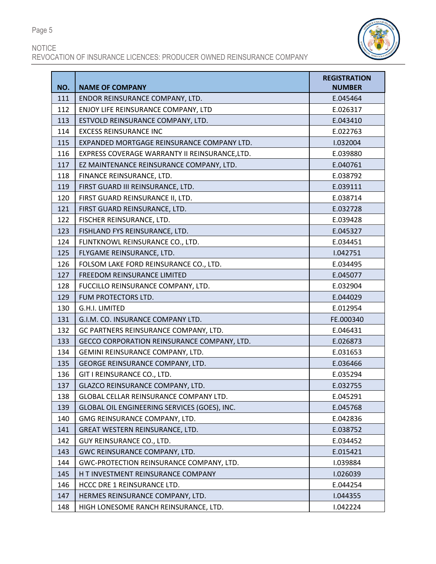NOTICE REVOCATION OF INSURANCE LICENCES: PRODUCER OWNED REINSURANCE COMPANY

| NO. | <b>NAME OF COMPANY</b>                         | <b>REGISTRATION</b><br><b>NUMBER</b> |
|-----|------------------------------------------------|--------------------------------------|
| 111 | ENDOR REINSURANCE COMPANY, LTD.                | E.045464                             |
| 112 | ENJOY LIFE REINSURANCE COMPANY, LTD            | E.026317                             |
| 113 | ESTVOLD REINSURANCE COMPANY, LTD.              | E.043410                             |
| 114 | <b>EXCESS REINSURANCE INC</b>                  | E.022763                             |
| 115 | EXPANDED MORTGAGE REINSURANCE COMPANY LTD.     | 1.032004                             |
| 116 | EXPRESS COVERAGE WARRANTY II REINSURANCE, LTD. | E.039880                             |
| 117 | EZ MAINTENANCE REINSURANCE COMPANY, LTD.       | E.040761                             |
| 118 | FINANCE REINSURANCE, LTD.                      | E.038792                             |
| 119 | FIRST GUARD III REINSURANCE, LTD.              | E.039111                             |
| 120 | FIRST GUARD REINSURANCE II, LTD.               | E.038714                             |
| 121 | FIRST GUARD REINSURANCE, LTD.                  | E.032728                             |
| 122 | FISCHER REINSURANCE, LTD.                      | E.039428                             |
| 123 | FISHLAND FYS REINSURANCE, LTD.                 | E.045327                             |
| 124 | FLINTKNOWL REINSURANCE CO., LTD.               | E.034451                             |
| 125 | FLYGAME REINSURANCE, LTD.                      | 1.042751                             |
| 126 | FOLSOM LAKE FORD REINSURANCE CO., LTD.         | E.034495                             |
| 127 | FREEDOM REINSURANCE LIMITED                    | E.045077                             |
| 128 | FUCCILLO REINSURANCE COMPANY, LTD.             | E.032904                             |
| 129 | FUM PROTECTORS LTD.                            | E.044029                             |
| 130 | G.H.I. LIMITED                                 | E.012954                             |
| 131 | G.I.M. CO. INSURANCE COMPANY LTD.              | FE.000340                            |
| 132 | GC PARTNERS REINSURANCE COMPANY, LTD.          | E.046431                             |
| 133 | GECCO CORPORATION REINSURANCE COMPANY, LTD.    | E.026873                             |
| 134 | GEMINI REINSURANCE COMPANY, LTD.               | E.031653                             |
| 135 | GEORGE REINSURANCE COMPANY, LTD.               | E.036466                             |
| 136 | GIT I REINSURANCE CO., LTD.                    | E.035294                             |
| 137 | GLAZCO REINSURANCE COMPANY, LTD.               | E.032755                             |
| 138 | GLOBAL CELLAR REINSURANCE COMPANY LTD.         | E.045291                             |
| 139 | GLOBAL OIL ENGINEERING SERVICES (GOES), INC.   | E.045768                             |
| 140 | GMG REINSURANCE COMPANY, LTD.                  | E.042836                             |
| 141 | GREAT WESTERN REINSURANCE, LTD.                | E.038752                             |
| 142 | GUY REINSURANCE CO., LTD.                      | E.034452                             |
| 143 | GWC REINSURANCE COMPANY, LTD.                  | E.015421                             |
| 144 | GWC-PROTECTION REINSURANCE COMPANY, LTD.       | 1.039884                             |
| 145 | H T INVESTMENT REINSURANCE COMPANY             | 1.026039                             |
| 146 | HCCC DRE 1 REINSURANCE LTD.                    | E.044254                             |
| 147 | HERMES REINSURANCE COMPANY, LTD.               | 1.044355                             |
| 148 | HIGH LONESOME RANCH REINSURANCE, LTD.          | 1.042224                             |

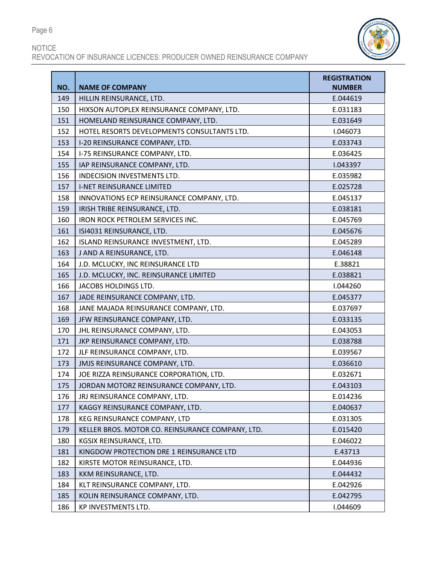

NOTICE REVOCATION OF INSURANCE LICENCES: PRODUCER OWNED REINSURANCE COMPANY

| NO. | <b>NAME OF COMPANY</b>                           | <b>REGISTRATION</b><br><b>NUMBER</b> |
|-----|--------------------------------------------------|--------------------------------------|
| 149 | HILLIN REINSURANCE, LTD.                         | E.044619                             |
| 150 | HIXSON AUTOPLEX REINSURANCE COMPANY, LTD.        | E.031183                             |
| 151 | HOMELAND REINSURANCE COMPANY, LTD.               | E.031649                             |
| 152 | HOTEL RESORTS DEVELOPMENTS CONSULTANTS LTD.      | 1.046073                             |
| 153 | I-20 REINSURANCE COMPANY, LTD.                   | E.033743                             |
| 154 | I-75 REINSURANCE COMPANY, LTD.                   | E.036425                             |
| 155 | IAP REINSURANCE COMPANY, LTD.                    | 1.043397                             |
| 156 | INDECISION INVESTMENTS LTD.                      | E.035982                             |
| 157 | <b>I-NET REINSURANCE LIMITED</b>                 | E.025728                             |
| 158 | INNOVATIONS ECP REINSURANCE COMPANY, LTD.        | E.045137                             |
| 159 | IRISH TRIBE REINSURANCE, LTD.                    | E.038181                             |
| 160 | IRON ROCK PETROLEM SERVICES INC.                 | E.045769                             |
| 161 | ISI4031 REINSURANCE, LTD.                        | E.045676                             |
| 162 | ISLAND REINSURANCE INVESTMENT, LTD.              | E.045289                             |
| 163 | J AND A REINSURANCE, LTD.                        | E.046148                             |
| 164 | J.D. MCLUCKY, INC REINSURANCE LTD                | E.38821                              |
| 165 | J.D. MCLUCKY, INC. REINSURANCE LIMITED           | E.038821                             |
| 166 | JACOBS HOLDINGS LTD.                             | 1.044260                             |
| 167 | JADE REINSURANCE COMPANY, LTD.                   | E.045377                             |
| 168 | JANE MAJADA REINSURANCE COMPANY, LTD.            | E.037697                             |
| 169 | JFW REINSURANCE COMPANY, LTD.                    | E.033135                             |
| 170 | JHL REINSURANCE COMPANY, LTD.                    | E.043053                             |
| 171 | JKP REINSURANCE COMPANY, LTD.                    | E.038788                             |
| 172 | JLF REINSURANCE COMPANY, LTD.                    | E.039567                             |
| 173 | JMJS REINSURANCE COMPANY, LTD.                   | E.036610                             |
| 174 | JOE RIZZA REINSURANCE CORPORATION, LTD.          | E.032671                             |
| 175 | JORDAN MOTORZ REINSURANCE COMPANY, LTD.          | E.043103                             |
| 176 | JRJ REINSURANCE COMPANY, LTD.                    | E.014236                             |
| 177 | KAGGY REINSURANCE COMPANY, LTD.                  | E.040637                             |
| 178 | KEG REINSURANCE COMPANY, LTD                     | E.031305                             |
| 179 | KELLER BROS. MOTOR CO. REINSURANCE COMPANY, LTD. | E.015420                             |
| 180 | KGSIX REINSURANCE, LTD.                          | E.046022                             |
| 181 | KINGDOW PROTECTION DRE 1 REINSURANCE LTD         | E.43713                              |
| 182 | KIRSTE MOTOR REINSURANCE, LTD.                   | E.044936                             |
| 183 | KKM REINSURANCE, LTD.                            | E.044432                             |
| 184 | KLT REINSURANCE COMPANY, LTD.                    | E.042926                             |
| 185 | KOLIN REINSURANCE COMPANY, LTD.                  | E.042795                             |
| 186 | KP INVESTMENTS LTD.                              | 1.044609                             |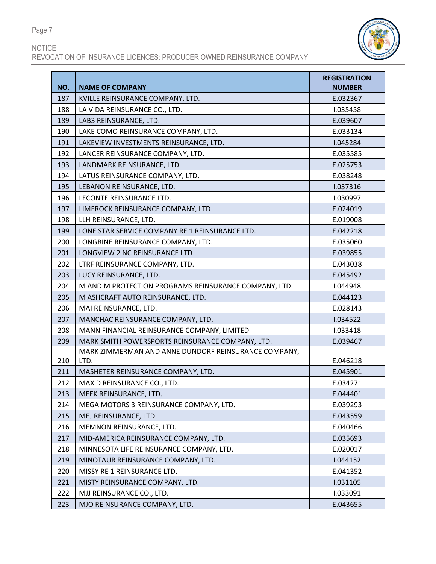



| NO. | <b>NAME OF COMPANY</b>                                       | <b>REGISTRATION</b><br><b>NUMBER</b> |
|-----|--------------------------------------------------------------|--------------------------------------|
| 187 | KVILLE REINSURANCE COMPANY, LTD.                             | E.032367                             |
| 188 | LA VIDA REINSURANCE CO., LTD.                                | 1.035458                             |
| 189 | LAB3 REINSURANCE, LTD.                                       | E.039607                             |
| 190 | LAKE COMO REINSURANCE COMPANY, LTD.                          | E.033134                             |
| 191 | LAKEVIEW INVESTMENTS REINSURANCE, LTD.                       | 1.045284                             |
| 192 | LANCER REINSURANCE COMPANY, LTD.                             | E.035585                             |
| 193 | LANDMARK REINSURANCE, LTD                                    | E.025753                             |
| 194 | LATUS REINSURANCE COMPANY, LTD.                              | E.038248                             |
| 195 | LEBANON REINSURANCE, LTD.                                    | 1.037316                             |
| 196 | LECONTE REINSURANCE LTD.                                     | 1.030997                             |
| 197 | LIMEROCK REINSURANCE COMPANY, LTD                            | E.024019                             |
| 198 | LLH REINSURANCE, LTD.                                        | E.019008                             |
| 199 | LONE STAR SERVICE COMPANY RE 1 REINSURANCE LTD.              | E.042218                             |
| 200 | LONGBINE REINSURANCE COMPANY, LTD.                           | E.035060                             |
| 201 | LONGVIEW 2 NC REINSURANCE LTD                                | E.039855                             |
| 202 | LTRF REINSURANCE COMPANY, LTD.                               | E.043038                             |
| 203 | LUCY REINSURANCE, LTD.                                       | E.045492                             |
| 204 | M AND M PROTECTION PROGRAMS REINSURANCE COMPANY, LTD.        | 1.044948                             |
| 205 | M ASHCRAFT AUTO REINSURANCE, LTD.                            | E.044123                             |
| 206 | MAI REINSURANCE, LTD.                                        | E.028143                             |
| 207 | MANCHAC REINSURANCE COMPANY, LTD.                            | 1.034522                             |
| 208 | MANN FINANCIAL REINSURANCE COMPANY, LIMITED                  | 1.033418                             |
| 209 | MARK SMITH POWERSPORTS REINSURANCE COMPANY, LTD.             | E.039467                             |
| 210 | MARK ZIMMERMAN AND ANNE DUNDORF REINSURANCE COMPANY,<br>LTD. | E.046218                             |
| 211 | MASHETER REINSURANCE COMPANY, LTD.                           | E.045901                             |
| 212 | MAX D REINSURANCE CO., LTD.                                  | E.034271                             |
| 213 | MEEK REINSURANCE, LTD.                                       | E.044401                             |
| 214 | MEGA MOTORS 3 REINSURANCE COMPANY, LTD.                      | E.039293                             |
| 215 | MEJ REINSURANCE, LTD.                                        | E.043559                             |
| 216 | MEMNON REINSURANCE, LTD.                                     | E.040466                             |
| 217 | MID-AMERICA REINSURANCE COMPANY, LTD.                        | E.035693                             |
| 218 | MINNESOTA LIFE REINSURANCE COMPANY, LTD.                     | E.020017                             |
| 219 | MINOTAUR REINSURANCE COMPANY, LTD.                           | 1.044152                             |
| 220 | MISSY RE 1 REINSURANCE LTD.                                  | E.041352                             |
| 221 | MISTY REINSURANCE COMPANY, LTD.                              | 1.031105                             |
| 222 | MJJ REINSURANCE CO., LTD.                                    | 1.033091                             |
| 223 | MJO REINSURANCE COMPANY, LTD.                                | E.043655                             |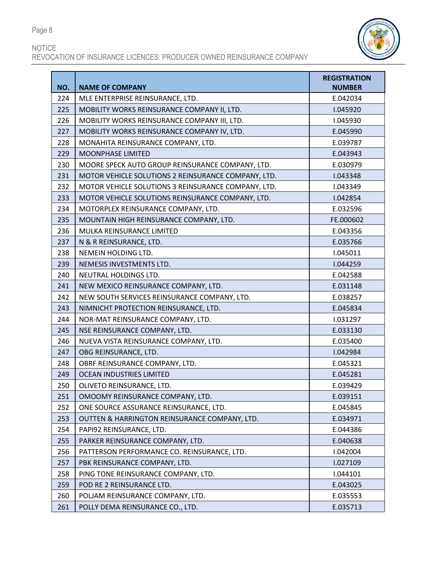

NOTICE

REVOCATION OF INSURANCE LICENCES: PRODUCER OWNED REINSURANCE COMPANY

| NO. | <b>NAME OF COMPANY</b>                              | <b>REGISTRATION</b><br><b>NUMBER</b> |
|-----|-----------------------------------------------------|--------------------------------------|
| 224 | MLE ENTERPRISE REINSURANCE, LTD.                    | E.042034                             |
| 225 | MOBILITY WORKS REINSURANCE COMPANY II, LTD.         | 1.045920                             |
| 226 | MOBILITY WORKS REINSURANCE COMPANY III, LTD.        | 1.045930                             |
| 227 | MOBILITY WORKS REINSURANCE COMPANY IV, LTD.         | E.045990                             |
| 228 | MONAHITA REINSURANCE COMPANY, LTD.                  | E.039787                             |
| 229 | MOONPHASE LIMITED                                   | E.043943                             |
| 230 | MOORE SPECK AUTO GROUP REINSURANCE COMPANY, LTD.    | E.030979                             |
| 231 | MOTOR VEHICLE SOLUTIONS 2 REINSURANCE COMPANY, LTD. | 1.043348                             |
| 232 | MOTOR VEHICLE SOLUTIONS 3 REINSURANCE COMPANY, LTD. | 1.043349                             |
| 233 | MOTOR VEHICLE SOLUTIONS REINSURANCE COMPANY, LTD.   | 1.042854                             |
| 234 | MOTORPLEX REINSURANCE COMPANY, LTD.                 | E.032596                             |
| 235 | MOUNTAIN HIGH REINSURANCE COMPANY, LTD.             | FE.000602                            |
| 236 | MULKA REINSURANCE LIMITED                           | E.043356                             |
| 237 | N & R REINSURANCE, LTD.                             | E.035766                             |
| 238 | NEMEIN HOLDING LTD.                                 | 1.045011                             |
| 239 | NEMESIS INVESTMENTS LTD.                            | 1.044259                             |
| 240 | NEUTRAL HOLDINGS LTD.                               | E.042588                             |
| 241 | NEW MEXICO REINSURANCE COMPANY, LTD.                | E.031148                             |
| 242 | NEW SOUTH SERVICES REINSURANCE COMPANY, LTD.        | E.038257                             |
| 243 | NIMNICHT PROTECTION REINSURANCE, LTD.               | E.045834                             |
| 244 | NOR-MAT REINSURANCE COMPANY, LTD.                   | 1.031297                             |
| 245 | NSE REINSURANCE COMPANY, LTD.                       | E.033130                             |
| 246 | NUEVA VISTA REINSURANCE COMPANY, LTD.               | E.035400                             |
| 247 | OBG REINSURANCE, LTD.                               | 1.042984                             |
| 248 | OBRF REINSURANCE COMPANY, LTD.                      | E.045321                             |
| 249 | <b>OCEAN INDUSTRIES LIMITED</b>                     | E.045281                             |
| 250 | OLIVETO REINSURANCE, LTD.                           | E.039429                             |
| 251 | OMOOMY REINSURANCE COMPANY, LTD.                    | E.039151                             |
| 252 | ONE SOURCE ASSURANCE REINSURANCE, LTD.              | E.045845                             |
| 253 | OUTTEN & HARRINGTON REINSURANCE COMPANY, LTD.       | E.034971                             |
| 254 | PAPI92 REINSURANCE, LTD.                            | E.044386                             |
| 255 | PARKER REINSURANCE COMPANY, LTD.                    | E.040638                             |
| 256 | PATTERSON PERFORMANCE CO. REINSURANCE, LTD.         | 1.042004                             |
| 257 | PBK REINSURANCE COMPANY, LTD.                       | 1.027109                             |
| 258 | PING TONE REINSURANCE COMPANY, LTD.                 | 1.044101                             |
| 259 | POD RE 2 REINSURANCE LTD.                           | E.043025                             |
| 260 | POLJAM REINSURANCE COMPANY, LTD.                    | E.035553                             |
| 261 | POLLY DEMA REINSURANCE CO., LTD.                    | E.035713                             |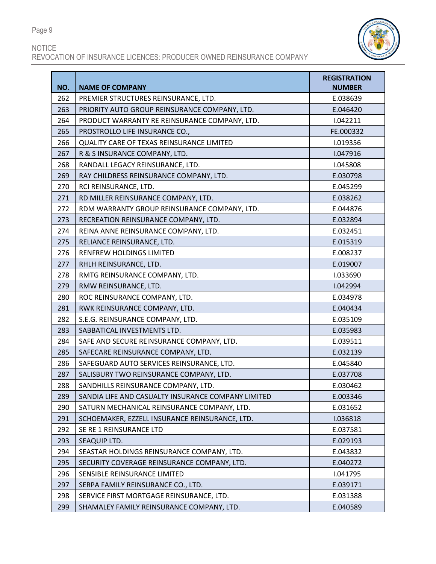NOTICE





| NO. | <b>NAME OF COMPANY</b>                             | <b>REGISTRATION</b><br><b>NUMBER</b> |
|-----|----------------------------------------------------|--------------------------------------|
| 262 | PREMIER STRUCTURES REINSURANCE, LTD.               | E.038639                             |
| 263 | PRIORITY AUTO GROUP REINSURANCE COMPANY, LTD.      | E.046420                             |
| 264 | PRODUCT WARRANTY RE REINSURANCE COMPANY, LTD.      | 1.042211                             |
| 265 | PROSTROLLO LIFE INSURANCE CO.,                     | FE.000332                            |
| 266 | QUALITY CARE OF TEXAS REINSURANCE LIMITED          | 1.019356                             |
| 267 | R & S INSURANCE COMPANY, LTD.                      | 1.047916                             |
| 268 | RANDALL LEGACY REINSURANCE, LTD.                   | 1.045808                             |
| 269 | RAY CHILDRESS REINSURANCE COMPANY, LTD.            | E.030798                             |
| 270 | RCI REINSURANCE, LTD.                              | E.045299                             |
| 271 | RD MILLER REINSURANCE COMPANY, LTD.                | E.038262                             |
| 272 | RDM WARRANTY GROUP REINSURANCE COMPANY, LTD.       | E.044876                             |
| 273 | RECREATION REINSURANCE COMPANY, LTD.               | E.032894                             |
| 274 | REINA ANNE REINSURANCE COMPANY, LTD.               | E.032451                             |
| 275 | RELIANCE REINSURANCE, LTD.                         | E.015319                             |
| 276 | RENFREW HOLDINGS LIMITED                           | E.008237                             |
| 277 | RHLH REINSURANCE, LTD.                             | E.019007                             |
| 278 | RMTG REINSURANCE COMPANY, LTD.                     | 1.033690                             |
| 279 | RMW REINSURANCE, LTD.                              | 1.042994                             |
| 280 | ROC REINSURANCE COMPANY, LTD.                      | E.034978                             |
| 281 | RWK REINSURANCE COMPANY, LTD.                      | E.040434                             |
| 282 | S.E.G. REINSURANCE COMPANY, LTD.                   | E.035109                             |
| 283 | SABBATICAL INVESTMENTS LTD.                        | E.035983                             |
| 284 | SAFE AND SECURE REINSURANCE COMPANY, LTD.          | E.039511                             |
| 285 | SAFECARE REINSURANCE COMPANY, LTD.                 | E.032139                             |
| 286 | SAFEGUARD AUTO SERVICES REINSURANCE, LTD.          | E.045840                             |
| 287 | SALISBURY TWO REINSURANCE COMPANY, LTD.            | E.037708                             |
| 288 | SANDHILLS REINSURANCE COMPANY, LTD.                | E.030462                             |
| 289 | SANDIA LIFE AND CASUALTY INSURANCE COMPANY LIMITED | E.003346                             |
| 290 | SATURN MECHANICAL REINSURANCE COMPANY, LTD.        | E.031652                             |
| 291 | SCHOEMAKER, EZZELL INSURANCE REINSURANCE, LTD.     | 1.036818                             |
| 292 | SE RE 1 REINSURANCE LTD                            | E.037581                             |
| 293 | SEAQUIP LTD.                                       | E.029193                             |
| 294 | SEASTAR HOLDINGS REINSURANCE COMPANY, LTD.         | E.043832                             |
| 295 | SECURITY COVERAGE REINSURANCE COMPANY, LTD.        | E.040272                             |
| 296 | SENSIBLE REINSURANCE LIMITED                       | I.041795                             |
| 297 | SERPA FAMILY REINSURANCE CO., LTD.                 | E.039171                             |
| 298 | SERVICE FIRST MORTGAGE REINSURANCE, LTD.           | E.031388                             |
| 299 | SHAMALEY FAMILY REINSURANCE COMPANY, LTD.          | E.040589                             |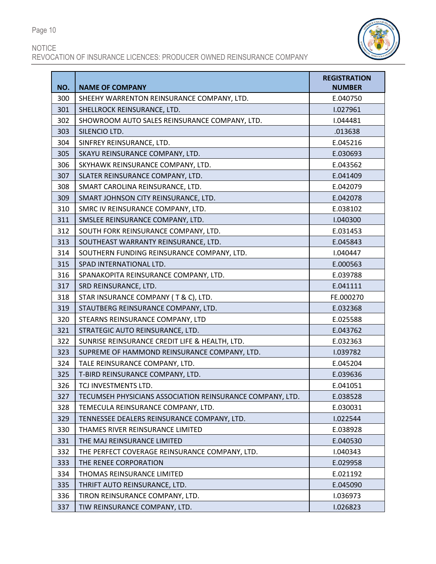



| NO. | <b>NAME OF COMPANY</b>                                    | <b>REGISTRATION</b><br><b>NUMBER</b> |
|-----|-----------------------------------------------------------|--------------------------------------|
| 300 | SHEEHY WARRENTON REINSURANCE COMPANY, LTD.                | E.040750                             |
| 301 | SHELLROCK REINSURANCE, LTD.                               | 1.027961                             |
| 302 | SHOWROOM AUTO SALES REINSURANCE COMPANY, LTD.             | 1.044481                             |
| 303 | SILENCIO LTD.                                             | .013638                              |
| 304 | SINFREY REINSURANCE, LTD.                                 | E.045216                             |
| 305 | SKAYU REINSURANCE COMPANY, LTD.                           | E.030693                             |
| 306 | SKYHAWK REINSURANCE COMPANY, LTD.                         | E.043562                             |
| 307 | SLATER REINSURANCE COMPANY, LTD.                          | E.041409                             |
| 308 | SMART CAROLINA REINSURANCE, LTD.                          | E.042079                             |
| 309 | SMART JOHNSON CITY REINSURANCE, LTD.                      | E.042078                             |
| 310 | SMRC IV REINSURANCE COMPANY, LTD.                         | E.038102                             |
| 311 | SMSLEE REINSURANCE COMPANY, LTD.                          | 1.040300                             |
| 312 | SOUTH FORK REINSURANCE COMPANY, LTD.                      | E.031453                             |
| 313 | SOUTHEAST WARRANTY REINSURANCE, LTD.                      | E.045843                             |
| 314 | SOUTHERN FUNDING REINSURANCE COMPANY, LTD.                | 1.040447                             |
| 315 | SPAD INTERNATIONAL LTD.                                   | E.000563                             |
| 316 | SPANAKOPITA REINSURANCE COMPANY, LTD.                     | E.039788                             |
| 317 | SRD REINSURANCE, LTD.                                     | E.041111                             |
| 318 | STAR INSURANCE COMPANY (T & C), LTD.                      | FE.000270                            |
| 319 | STAUTBERG REINSURANCE COMPANY, LTD.                       | E.032368                             |
| 320 | STEARNS REINSURANCE COMPANY, LTD                          | E.025588                             |
| 321 | STRATEGIC AUTO REINSURANCE, LTD.                          | E.043762                             |
| 322 | SUNRISE REINSURANCE CREDIT LIFE & HEALTH, LTD.            | E.032363                             |
| 323 | SUPREME OF HAMMOND REINSURANCE COMPANY, LTD.              | 1.039782                             |
| 324 | TALE REINSURANCE COMPANY, LTD.                            | E.045204                             |
| 325 | T-BIRD REINSURANCE COMPANY, LTD.                          | E.039636                             |
| 326 | TCJ INVESTMENTS LTD.                                      | E.041051                             |
| 327 | TECUMSEH PHYSICIANS ASSOCIATION REINSURANCE COMPANY, LTD. | E.038528                             |
| 328 | TEMECULA REINSURANCE COMPANY, LTD.                        | E.030031                             |
| 329 | TENNESSEE DEALERS REINSURANCE COMPANY, LTD.               | 1.022544                             |
| 330 | THAMES RIVER REINSURANCE LIMITED                          | E.038928                             |
| 331 | THE MAJ REINSURANCE LIMITED                               | E.040530                             |
| 332 | THE PERFECT COVERAGE REINSURANCE COMPANY, LTD.            | 1.040343                             |
| 333 | THE RENEE CORPORATION                                     | E.029958                             |
| 334 | THOMAS REINSURANCE LIMITED                                | E.021192                             |
| 335 | THRIFT AUTO REINSURANCE, LTD.                             | E.045090                             |
| 336 | TIRON REINSURANCE COMPANY, LTD.                           | 1.036973                             |
| 337 | TIW REINSURANCE COMPANY, LTD.                             | 1.026823                             |